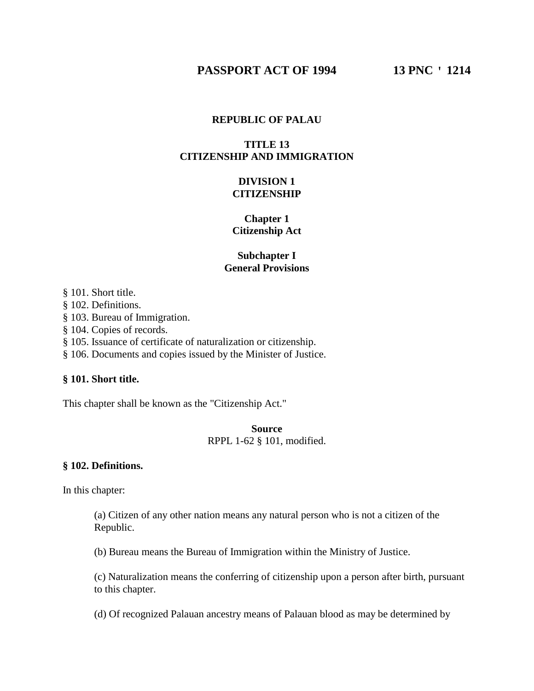# **REPUBLIC OF PALAU**

# **TITLE 13 CITIZENSHIP AND IMMIGRATION**

# **DIVISION 1 CITIZENSHIP**

# **Chapter 1 Citizenship Act**

# **Subchapter I General Provisions**

§ 101. Short title.

§ 102. Definitions.

§ 103. Bureau of Immigration.

§ 104. Copies of records.

§ 105. Issuance of certificate of naturalization or citizenship.

§ 106. Documents and copies issued by the Minister of Justice.

### **§ 101. Short title.**

This chapter shall be known as the "Citizenship Act."

**Source** RPPL 1-62 § 101, modified.

### **§ 102. Definitions.**

In this chapter:

(a) Citizen of any other nation means any natural person who is not a citizen of the Republic.

(b) Bureau means the Bureau of Immigration within the Ministry of Justice.

(c) Naturalization means the conferring of citizenship upon a person after birth, pursuant to this chapter.

(d) Of recognized Palauan ancestry means of Palauan blood as may be determined by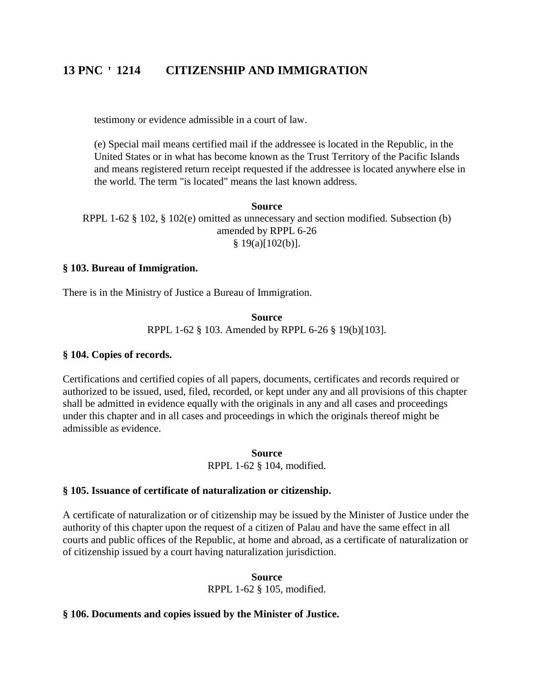testimony or evidence admissible in a court of law.

(e) Special mail means certified mail if the addressee is located in the Republic, in the United States or in what has become known as the Trust Territory of the Pacific Islands and means registered return receipt requested if the addressee is located anywhere else in the world. The term "is located" means the last known address.

**Source** RPPL 1-62 § 102, § 102(e) omitted as unnecessary and section modified. Subsection (b) amended by RPPL 6-26  $§ 19(a)[102(b)].$ 

### **§ 103. Bureau of Immigration.**

There is in the Ministry of Justice a Bureau of Immigration.

**Source** RPPL 1-62 § 103. Amended by RPPL 6-26 § 19(b)[103].

### **§ 104. Copies of records.**

Certifications and certified copies of all papers, documents, certificates and records required or authorized to be issued, used, filed, recorded, or kept under any and all provisions of this chapter shall be admitted in evidence equally with the originals in any and all cases and proceedings under this chapter and in all cases and proceedings in which the originals thereof might be admissible as evidence.

> **Source** RPPL 1-62 § 104, modified.

### **§ 105. Issuance of certificate of naturalization or citizenship.**

A certificate of naturalization or of citizenship may be issued by the Minister of Justice under the authority of this chapter upon the request of a citizen of Palau and have the same effect in all courts and public offices of the Republic, at home and abroad, as a certificate of naturalization or of citizenship issued by a court having naturalization jurisdiction.

### **Source**

RPPL 1-62 § 105, modified.

### **§ 106. Documents and copies issued by the Minister of Justice.**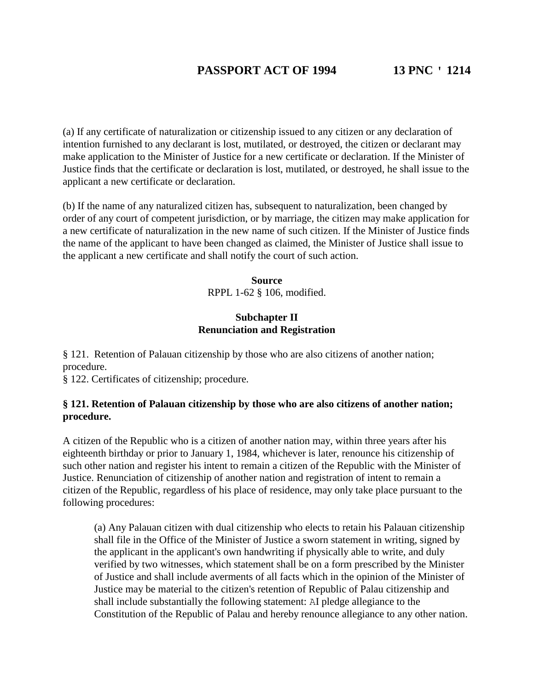(a) If any certificate of naturalization or citizenship issued to any citizen or any declaration of intention furnished to any declarant is lost, mutilated, or destroyed, the citizen or declarant may make application to the Minister of Justice for a new certificate or declaration. If the Minister of Justice finds that the certificate or declaration is lost, mutilated, or destroyed, he shall issue to the applicant a new certificate or declaration.

(b) If the name of any naturalized citizen has, subsequent to naturalization, been changed by order of any court of competent jurisdiction, or by marriage, the citizen may make application for a new certificate of naturalization in the new name of such citizen. If the Minister of Justice finds the name of the applicant to have been changed as claimed, the Minister of Justice shall issue to the applicant a new certificate and shall notify the court of such action.

> **Source** RPPL 1-62 § 106, modified.

# **Subchapter II Renunciation and Registration**

§ 121. Retention of Palauan citizenship by those who are also citizens of another nation; procedure.

§ 122. Certificates of citizenship; procedure.

# **§ 121. Retention of Palauan citizenship by those who are also citizens of another nation; procedure.**

A citizen of the Republic who is a citizen of another nation may, within three years after his eighteenth birthday or prior to January 1, 1984, whichever is later, renounce his citizenship of such other nation and register his intent to remain a citizen of the Republic with the Minister of Justice. Renunciation of citizenship of another nation and registration of intent to remain a citizen of the Republic, regardless of his place of residence, may only take place pursuant to the following procedures:

(a) Any Palauan citizen with dual citizenship who elects to retain his Palauan citizenship shall file in the Office of the Minister of Justice a sworn statement in writing, signed by the applicant in the applicant's own handwriting if physically able to write, and duly verified by two witnesses, which statement shall be on a form prescribed by the Minister of Justice and shall include averments of all facts which in the opinion of the Minister of Justice may be material to the citizen's retention of Republic of Palau citizenship and shall include substantially the following statement: AI pledge allegiance to the Constitution of the Republic of Palau and hereby renounce allegiance to any other nation.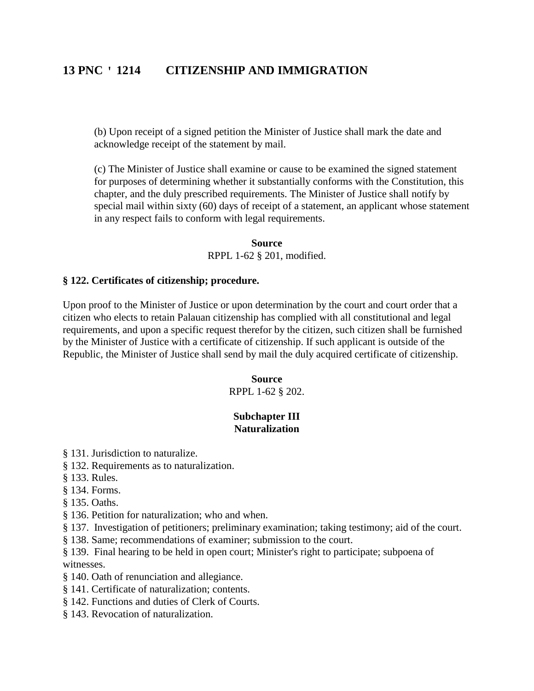(b) Upon receipt of a signed petition the Minister of Justice shall mark the date and acknowledge receipt of the statement by mail.

(c) The Minister of Justice shall examine or cause to be examined the signed statement for purposes of determining whether it substantially conforms with the Constitution, this chapter, and the duly prescribed requirements. The Minister of Justice shall notify by special mail within sixty (60) days of receipt of a statement, an applicant whose statement in any respect fails to conform with legal requirements.

> **Source** RPPL 1-62 § 201, modified.

### **§ 122. Certificates of citizenship; procedure.**

Upon proof to the Minister of Justice or upon determination by the court and court order that a citizen who elects to retain Palauan citizenship has complied with all constitutional and legal requirements, and upon a specific request therefor by the citizen, such citizen shall be furnished by the Minister of Justice with a certificate of citizenship. If such applicant is outside of the Republic, the Minister of Justice shall send by mail the duly acquired certificate of citizenship.

> **Source** RPPL 1-62 § 202.

# **Subchapter III Naturalization**

- § 131. Jurisdiction to naturalize.
- § 132. Requirements as to naturalization.
- § 133. Rules.
- § 134. Forms.
- § 135. Oaths.
- § 136. Petition for naturalization; who and when.
- § 137. Investigation of petitioners; preliminary examination; taking testimony; aid of the court.
- § 138. Same; recommendations of examiner; submission to the court.
- § 139. Final hearing to be held in open court; Minister's right to participate; subpoena of witnesses.
- § 140. Oath of renunciation and allegiance.
- § 141. Certificate of naturalization; contents.
- § 142. Functions and duties of Clerk of Courts.
- § 143. Revocation of naturalization.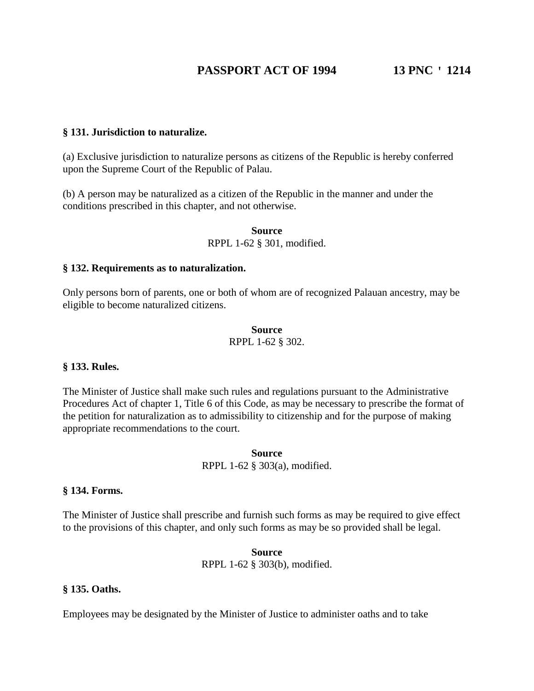### **§ 131. Jurisdiction to naturalize.**

(a) Exclusive jurisdiction to naturalize persons as citizens of the Republic is hereby conferred upon the Supreme Court of the Republic of Palau.

(b) A person may be naturalized as a citizen of the Republic in the manner and under the conditions prescribed in this chapter, and not otherwise.

> **Source** RPPL 1-62 § 301, modified.

### **§ 132. Requirements as to naturalization.**

Only persons born of parents, one or both of whom are of recognized Palauan ancestry, may be eligible to become naturalized citizens.

# **Source**

# RPPL 1-62 § 302.

### **§ 133. Rules.**

The Minister of Justice shall make such rules and regulations pursuant to the Administrative Procedures Act of chapter 1, Title 6 of this Code, as may be necessary to prescribe the format of the petition for naturalization as to admissibility to citizenship and for the purpose of making appropriate recommendations to the court.

> **Source** RPPL 1-62 § 303(a), modified.

#### **§ 134. Forms.**

The Minister of Justice shall prescribe and furnish such forms as may be required to give effect to the provisions of this chapter, and only such forms as may be so provided shall be legal.

> **Source** RPPL 1-62 § 303(b), modified.

#### **§ 135. Oaths.**

Employees may be designated by the Minister of Justice to administer oaths and to take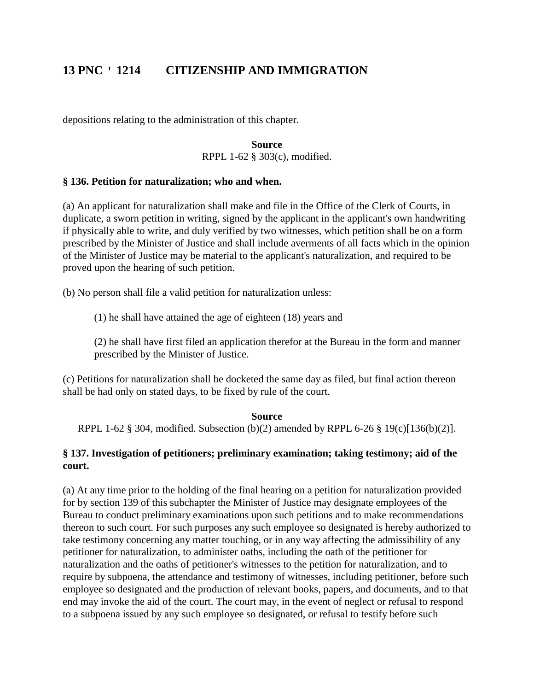depositions relating to the administration of this chapter.

### **Source** RPPL 1-62 § 303(c), modified.

# **§ 136. Petition for naturalization; who and when.**

(a) An applicant for naturalization shall make and file in the Office of the Clerk of Courts, in duplicate, a sworn petition in writing, signed by the applicant in the applicant's own handwriting if physically able to write, and duly verified by two witnesses, which petition shall be on a form prescribed by the Minister of Justice and shall include averments of all facts which in the opinion of the Minister of Justice may be material to the applicant's naturalization, and required to be proved upon the hearing of such petition.

(b) No person shall file a valid petition for naturalization unless:

(1) he shall have attained the age of eighteen (18) years and

(2) he shall have first filed an application therefor at the Bureau in the form and manner prescribed by the Minister of Justice.

(c) Petitions for naturalization shall be docketed the same day as filed, but final action thereon shall be had only on stated days, to be fixed by rule of the court.

# **Source**

RPPL 1-62 § 304, modified. Subsection (b)(2) amended by RPPL 6-26 § 19(c)[136(b)(2)].

# **§ 137. Investigation of petitioners; preliminary examination; taking testimony; aid of the court.**

(a) At any time prior to the holding of the final hearing on a petition for naturalization provided for by section 139 of this subchapter the Minister of Justice may designate employees of the Bureau to conduct preliminary examinations upon such petitions and to make recommendations thereon to such court. For such purposes any such employee so designated is hereby authorized to take testimony concerning any matter touching, or in any way affecting the admissibility of any petitioner for naturalization, to administer oaths, including the oath of the petitioner for naturalization and the oaths of petitioner's witnesses to the petition for naturalization, and to require by subpoena, the attendance and testimony of witnesses, including petitioner, before such employee so designated and the production of relevant books, papers, and documents, and to that end may invoke the aid of the court. The court may, in the event of neglect or refusal to respond to a subpoena issued by any such employee so designated, or refusal to testify before such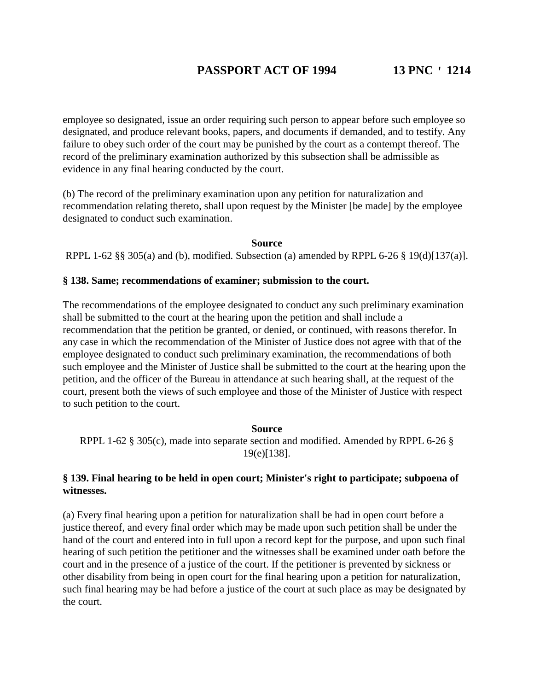employee so designated, issue an order requiring such person to appear before such employee so designated, and produce relevant books, papers, and documents if demanded, and to testify. Any failure to obey such order of the court may be punished by the court as a contempt thereof. The record of the preliminary examination authorized by this subsection shall be admissible as evidence in any final hearing conducted by the court.

(b) The record of the preliminary examination upon any petition for naturalization and recommendation relating thereto, shall upon request by the Minister [be made] by the employee designated to conduct such examination.

### **Source**

RPPL 1-62 §§ 305(a) and (b), modified. Subsection (a) amended by RPPL 6-26 § 19(d)[137(a)].

### **§ 138. Same; recommendations of examiner; submission to the court.**

The recommendations of the employee designated to conduct any such preliminary examination shall be submitted to the court at the hearing upon the petition and shall include a recommendation that the petition be granted, or denied, or continued, with reasons therefor. In any case in which the recommendation of the Minister of Justice does not agree with that of the employee designated to conduct such preliminary examination, the recommendations of both such employee and the Minister of Justice shall be submitted to the court at the hearing upon the petition, and the officer of the Bureau in attendance at such hearing shall, at the request of the court, present both the views of such employee and those of the Minister of Justice with respect to such petition to the court.

### **Source**

RPPL 1-62 § 305(c), made into separate section and modified. Amended by RPPL 6-26 § 19(e)[138].

# **§ 139. Final hearing to be held in open court; Minister's right to participate; subpoena of witnesses.**

(a) Every final hearing upon a petition for naturalization shall be had in open court before a justice thereof, and every final order which may be made upon such petition shall be under the hand of the court and entered into in full upon a record kept for the purpose, and upon such final hearing of such petition the petitioner and the witnesses shall be examined under oath before the court and in the presence of a justice of the court. If the petitioner is prevented by sickness or other disability from being in open court for the final hearing upon a petition for naturalization, such final hearing may be had before a justice of the court at such place as may be designated by the court.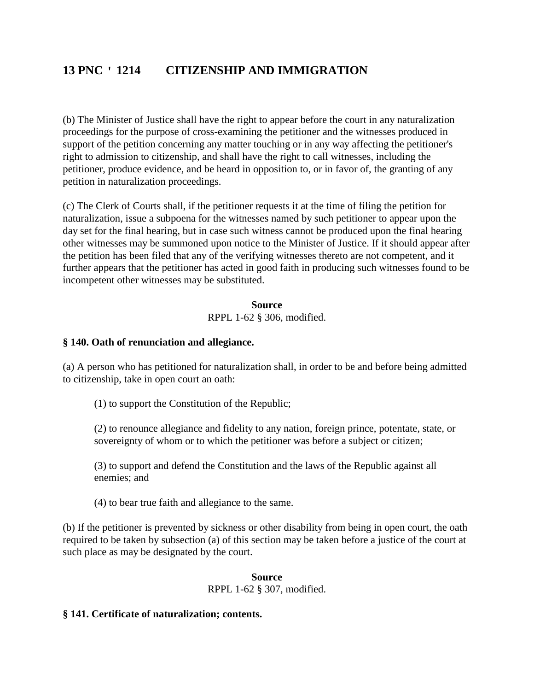(b) The Minister of Justice shall have the right to appear before the court in any naturalization proceedings for the purpose of cross-examining the petitioner and the witnesses produced in support of the petition concerning any matter touching or in any way affecting the petitioner's right to admission to citizenship, and shall have the right to call witnesses, including the petitioner, produce evidence, and be heard in opposition to, or in favor of, the granting of any petition in naturalization proceedings.

(c) The Clerk of Courts shall, if the petitioner requests it at the time of filing the petition for naturalization, issue a subpoena for the witnesses named by such petitioner to appear upon the day set for the final hearing, but in case such witness cannot be produced upon the final hearing other witnesses may be summoned upon notice to the Minister of Justice. If it should appear after the petition has been filed that any of the verifying witnesses thereto are not competent, and it further appears that the petitioner has acted in good faith in producing such witnesses found to be incompetent other witnesses may be substituted.

> **Source** RPPL 1-62 § 306, modified.

### **§ 140. Oath of renunciation and allegiance.**

(a) A person who has petitioned for naturalization shall, in order to be and before being admitted to citizenship, take in open court an oath:

(1) to support the Constitution of the Republic;

(2) to renounce allegiance and fidelity to any nation, foreign prince, potentate, state, or sovereignty of whom or to which the petitioner was before a subject or citizen;

(3) to support and defend the Constitution and the laws of the Republic against all enemies; and

(4) to bear true faith and allegiance to the same.

(b) If the petitioner is prevented by sickness or other disability from being in open court, the oath required to be taken by subsection (a) of this section may be taken before a justice of the court at such place as may be designated by the court.

# **Source**

RPPL 1-62 § 307, modified.

### **§ 141. Certificate of naturalization; contents.**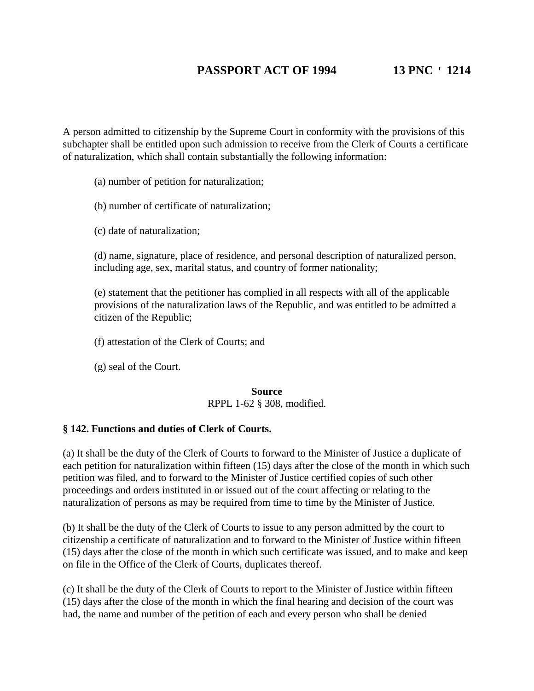A person admitted to citizenship by the Supreme Court in conformity with the provisions of this subchapter shall be entitled upon such admission to receive from the Clerk of Courts a certificate of naturalization, which shall contain substantially the following information:

(a) number of petition for naturalization;

(b) number of certificate of naturalization;

(c) date of naturalization;

(d) name, signature, place of residence, and personal description of naturalized person, including age, sex, marital status, and country of former nationality;

(e) statement that the petitioner has complied in all respects with all of the applicable provisions of the naturalization laws of the Republic, and was entitled to be admitted a citizen of the Republic;

(f) attestation of the Clerk of Courts; and

(g) seal of the Court.

### **Source** RPPL 1-62 § 308, modified.

# **§ 142. Functions and duties of Clerk of Courts.**

(a) It shall be the duty of the Clerk of Courts to forward to the Minister of Justice a duplicate of each petition for naturalization within fifteen (15) days after the close of the month in which such petition was filed, and to forward to the Minister of Justice certified copies of such other proceedings and orders instituted in or issued out of the court affecting or relating to the naturalization of persons as may be required from time to time by the Minister of Justice.

(b) It shall be the duty of the Clerk of Courts to issue to any person admitted by the court to citizenship a certificate of naturalization and to forward to the Minister of Justice within fifteen (15) days after the close of the month in which such certificate was issued, and to make and keep on file in the Office of the Clerk of Courts, duplicates thereof.

(c) It shall be the duty of the Clerk of Courts to report to the Minister of Justice within fifteen (15) days after the close of the month in which the final hearing and decision of the court was had, the name and number of the petition of each and every person who shall be denied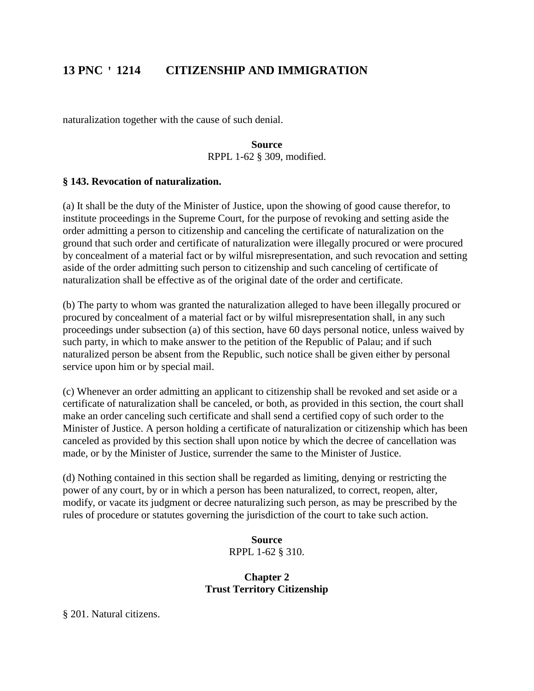naturalization together with the cause of such denial.

**Source** RPPL 1-62 § 309, modified.

# **§ 143. Revocation of naturalization.**

(a) It shall be the duty of the Minister of Justice, upon the showing of good cause therefor, to institute proceedings in the Supreme Court, for the purpose of revoking and setting aside the order admitting a person to citizenship and canceling the certificate of naturalization on the ground that such order and certificate of naturalization were illegally procured or were procured by concealment of a material fact or by wilful misrepresentation, and such revocation and setting aside of the order admitting such person to citizenship and such canceling of certificate of naturalization shall be effective as of the original date of the order and certificate.

(b) The party to whom was granted the naturalization alleged to have been illegally procured or procured by concealment of a material fact or by wilful misrepresentation shall, in any such proceedings under subsection (a) of this section, have 60 days personal notice, unless waived by such party, in which to make answer to the petition of the Republic of Palau; and if such naturalized person be absent from the Republic, such notice shall be given either by personal service upon him or by special mail.

(c) Whenever an order admitting an applicant to citizenship shall be revoked and set aside or a certificate of naturalization shall be canceled, or both, as provided in this section, the court shall make an order canceling such certificate and shall send a certified copy of such order to the Minister of Justice. A person holding a certificate of naturalization or citizenship which has been canceled as provided by this section shall upon notice by which the decree of cancellation was made, or by the Minister of Justice, surrender the same to the Minister of Justice.

(d) Nothing contained in this section shall be regarded as limiting, denying or restricting the power of any court, by or in which a person has been naturalized, to correct, reopen, alter, modify, or vacate its judgment or decree naturalizing such person, as may be prescribed by the rules of procedure or statutes governing the jurisdiction of the court to take such action.

> **Source** RPPL 1-62 § 310.

# **Chapter 2 Trust Territory Citizenship**

§ 201. Natural citizens.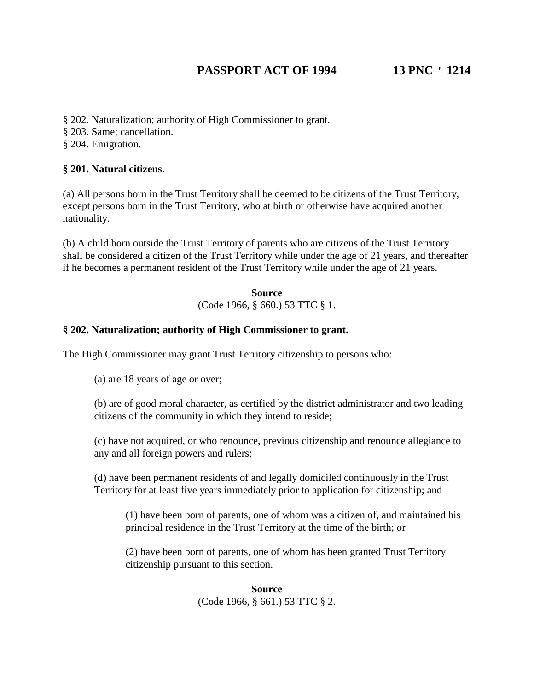- § 202. Naturalization; authority of High Commissioner to grant.
- § 203. Same; cancellation.
- § 204. Emigration.

# **§ 201. Natural citizens.**

(a) All persons born in the Trust Territory shall be deemed to be citizens of the Trust Territory, except persons born in the Trust Territory, who at birth or otherwise have acquired another nationality.

(b) A child born outside the Trust Territory of parents who are citizens of the Trust Territory shall be considered a citizen of the Trust Territory while under the age of 21 years, and thereafter if he becomes a permanent resident of the Trust Territory while under the age of 21 years.

> **Source** (Code 1966, § 660.) 53 TTC § 1.

# **§ 202. Naturalization; authority of High Commissioner to grant.**

The High Commissioner may grant Trust Territory citizenship to persons who:

(a) are 18 years of age or over;

(b) are of good moral character, as certified by the district administrator and two leading citizens of the community in which they intend to reside;

(c) have not acquired, or who renounce, previous citizenship and renounce allegiance to any and all foreign powers and rulers;

(d) have been permanent residents of and legally domiciled continuously in the Trust Territory for at least five years immediately prior to application for citizenship; and

(1) have been born of parents, one of whom was a citizen of, and maintained his principal residence in the Trust Territory at the time of the birth; or

(2) have been born of parents, one of whom has been granted Trust Territory citizenship pursuant to this section.

> **Source** (Code 1966, § 661.) 53 TTC § 2.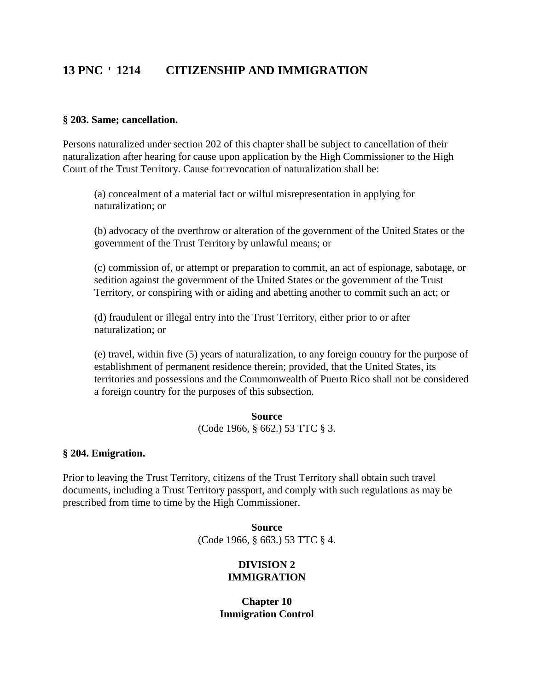### **§ 203. Same; cancellation.**

Persons naturalized under section 202 of this chapter shall be subject to cancellation of their naturalization after hearing for cause upon application by the High Commissioner to the High Court of the Trust Territory. Cause for revocation of naturalization shall be:

(a) concealment of a material fact or wilful misrepresentation in applying for naturalization; or

(b) advocacy of the overthrow or alteration of the government of the United States or the government of the Trust Territory by unlawful means; or

(c) commission of, or attempt or preparation to commit, an act of espionage, sabotage, or sedition against the government of the United States or the government of the Trust Territory, or conspiring with or aiding and abetting another to commit such an act; or

(d) fraudulent or illegal entry into the Trust Territory, either prior to or after naturalization; or

(e) travel, within five (5) years of naturalization, to any foreign country for the purpose of establishment of permanent residence therein; provided, that the United States, its territories and possessions and the Commonwealth of Puerto Rico shall not be considered a foreign country for the purposes of this subsection.

#### **Source**

(Code 1966, § 662.) 53 TTC § 3.

### **§ 204. Emigration.**

Prior to leaving the Trust Territory, citizens of the Trust Territory shall obtain such travel documents, including a Trust Territory passport, and comply with such regulations as may be prescribed from time to time by the High Commissioner.

> **Source** (Code 1966, § 663.) 53 TTC § 4.

### **DIVISION 2 IMMIGRATION**

**Chapter 10 Immigration Control**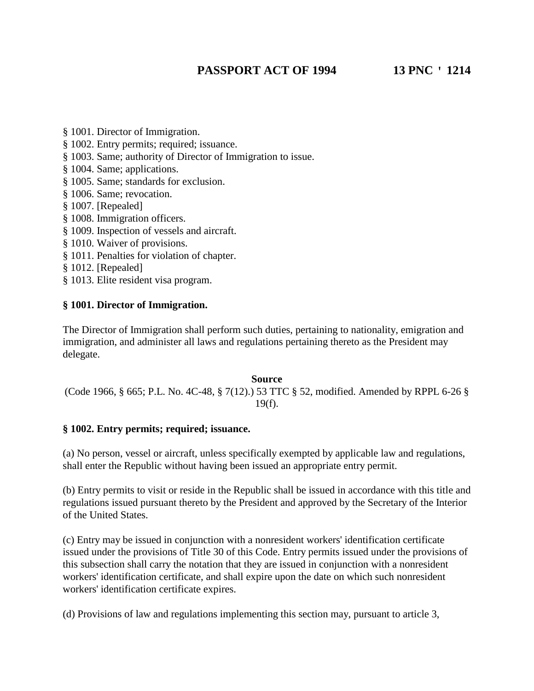- § 1001. Director of Immigration.
- § 1002. Entry permits; required; issuance.
- § 1003. Same; authority of Director of Immigration to issue.
- § 1004. Same; applications.
- § 1005. Same; standards for exclusion.
- § 1006. Same; revocation.
- § 1007. [Repealed]
- § 1008. Immigration officers.
- § 1009. Inspection of vessels and aircraft.
- § 1010. Waiver of provisions.
- § 1011. Penalties for violation of chapter.
- § 1012. [Repealed]
- § 1013. Elite resident visa program.

# **§ 1001. Director of Immigration.**

The Director of Immigration shall perform such duties, pertaining to nationality, emigration and immigration, and administer all laws and regulations pertaining thereto as the President may delegate.

# **Source** (Code 1966, § 665; P.L. No. 4C-48, § 7(12).) 53 TTC § 52, modified. Amended by RPPL 6-26 § 19(f).

# **§ 1002. Entry permits; required; issuance.**

(a) No person, vessel or aircraft, unless specifically exempted by applicable law and regulations, shall enter the Republic without having been issued an appropriate entry permit.

(b) Entry permits to visit or reside in the Republic shall be issued in accordance with this title and regulations issued pursuant thereto by the President and approved by the Secretary of the Interior of the United States.

(c) Entry may be issued in conjunction with a nonresident workers' identification certificate issued under the provisions of Title 30 of this Code. Entry permits issued under the provisions of this subsection shall carry the notation that they are issued in conjunction with a nonresident workers' identification certificate, and shall expire upon the date on which such nonresident workers' identification certificate expires.

(d) Provisions of law and regulations implementing this section may, pursuant to article 3,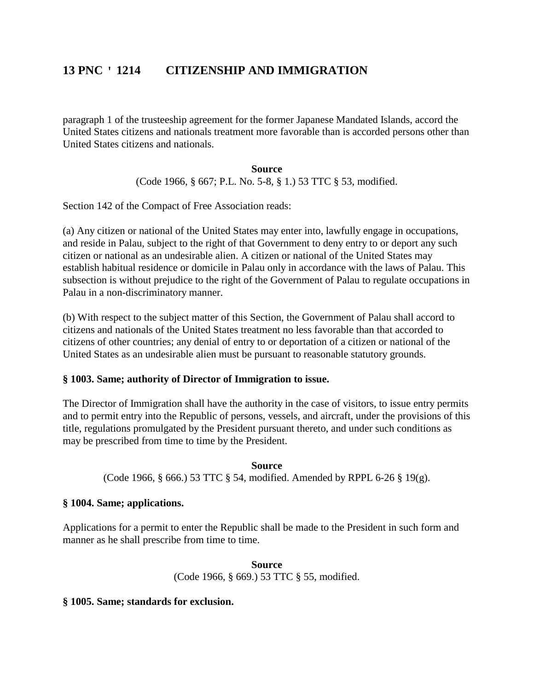paragraph 1 of the trusteeship agreement for the former Japanese Mandated Islands, accord the United States citizens and nationals treatment more favorable than is accorded persons other than United States citizens and nationals.

#### **Source**

(Code 1966, § 667; P.L. No. 5-8, § 1.) 53 TTC § 53, modified.

Section 142 of the Compact of Free Association reads:

(a) Any citizen or national of the United States may enter into, lawfully engage in occupations, and reside in Palau, subject to the right of that Government to deny entry to or deport any such citizen or national as an undesirable alien. A citizen or national of the United States may establish habitual residence or domicile in Palau only in accordance with the laws of Palau. This subsection is without prejudice to the right of the Government of Palau to regulate occupations in Palau in a non-discriminatory manner.

(b) With respect to the subject matter of this Section, the Government of Palau shall accord to citizens and nationals of the United States treatment no less favorable than that accorded to citizens of other countries; any denial of entry to or deportation of a citizen or national of the United States as an undesirable alien must be pursuant to reasonable statutory grounds.

# **§ 1003. Same; authority of Director of Immigration to issue.**

The Director of Immigration shall have the authority in the case of visitors, to issue entry permits and to permit entry into the Republic of persons, vessels, and aircraft, under the provisions of this title, regulations promulgated by the President pursuant thereto, and under such conditions as may be prescribed from time to time by the President.

### **Source**

(Code 1966, § 666.) 53 TTC § 54, modified. Amended by RPPL 6-26 § 19(g).

# **§ 1004. Same; applications.**

Applications for a permit to enter the Republic shall be made to the President in such form and manner as he shall prescribe from time to time.

> **Source** (Code 1966, § 669.) 53 TTC § 55, modified.

### **§ 1005. Same; standards for exclusion.**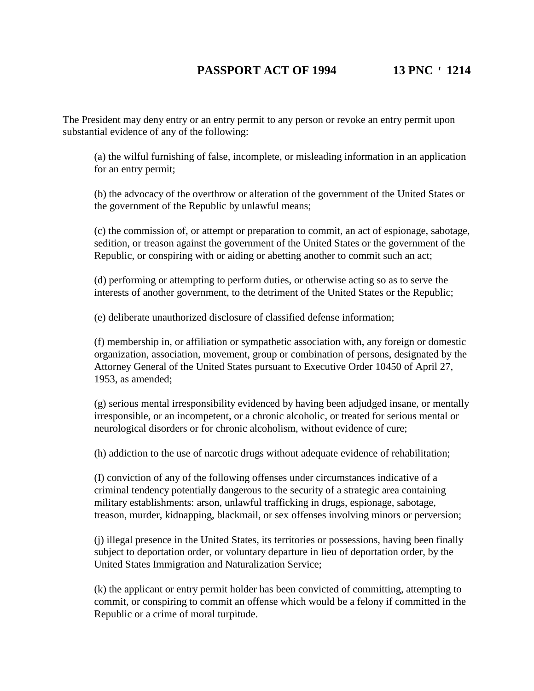The President may deny entry or an entry permit to any person or revoke an entry permit upon substantial evidence of any of the following:

(a) the wilful furnishing of false, incomplete, or misleading information in an application for an entry permit;

(b) the advocacy of the overthrow or alteration of the government of the United States or the government of the Republic by unlawful means;

(c) the commission of, or attempt or preparation to commit, an act of espionage, sabotage, sedition, or treason against the government of the United States or the government of the Republic, or conspiring with or aiding or abetting another to commit such an act;

(d) performing or attempting to perform duties, or otherwise acting so as to serve the interests of another government, to the detriment of the United States or the Republic;

(e) deliberate unauthorized disclosure of classified defense information;

(f) membership in, or affiliation or sympathetic association with, any foreign or domestic organization, association, movement, group or combination of persons, designated by the Attorney General of the United States pursuant to Executive Order 10450 of April 27, 1953, as amended;

(g) serious mental irresponsibility evidenced by having been adjudged insane, or mentally irresponsible, or an incompetent, or a chronic alcoholic, or treated for serious mental or neurological disorders or for chronic alcoholism, without evidence of cure;

(h) addiction to the use of narcotic drugs without adequate evidence of rehabilitation;

(I) conviction of any of the following offenses under circumstances indicative of a criminal tendency potentially dangerous to the security of a strategic area containing military establishments: arson, unlawful trafficking in drugs, espionage, sabotage, treason, murder, kidnapping, blackmail, or sex offenses involving minors or perversion;

(j) illegal presence in the United States, its territories or possessions, having been finally subject to deportation order, or voluntary departure in lieu of deportation order, by the United States Immigration and Naturalization Service;

(k) the applicant or entry permit holder has been convicted of committing, attempting to commit, or conspiring to commit an offense which would be a felony if committed in the Republic or a crime of moral turpitude.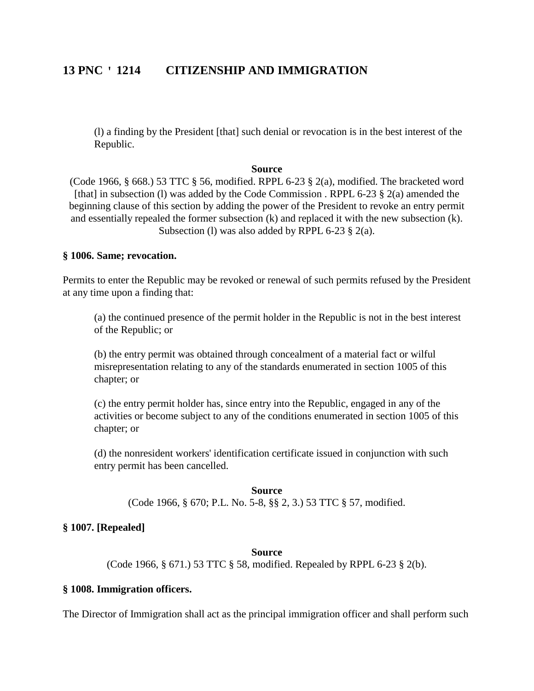(l) a finding by the President [that] such denial or revocation is in the best interest of the Republic.

#### **Source**

(Code 1966, § 668.) 53 TTC § 56, modified. RPPL 6-23 § 2(a), modified. The bracketed word [that] in subsection (1) was added by the Code Commission . RPPL 6-23  $\S$  2(a) amended the beginning clause of this section by adding the power of the President to revoke an entry permit and essentially repealed the former subsection (k) and replaced it with the new subsection (k). Subsection (I) was also added by RPPL 6-23 § 2(a).

### **§ 1006. Same; revocation.**

Permits to enter the Republic may be revoked or renewal of such permits refused by the President at any time upon a finding that:

(a) the continued presence of the permit holder in the Republic is not in the best interest of the Republic; or

(b) the entry permit was obtained through concealment of a material fact or wilful misrepresentation relating to any of the standards enumerated in section 1005 of this chapter; or

(c) the entry permit holder has, since entry into the Republic, engaged in any of the activities or become subject to any of the conditions enumerated in section 1005 of this chapter; or

(d) the nonresident workers' identification certificate issued in conjunction with such entry permit has been cancelled.

**Source** (Code 1966, § 670; P.L. No. 5-8, §§ 2, 3.) 53 TTC § 57, modified.

### **§ 1007. [Repealed]**

### **Source**

(Code 1966, § 671.) 53 TTC § 58, modified. Repealed by RPPL 6-23 § 2(b).

#### **§ 1008. Immigration officers.**

The Director of Immigration shall act as the principal immigration officer and shall perform such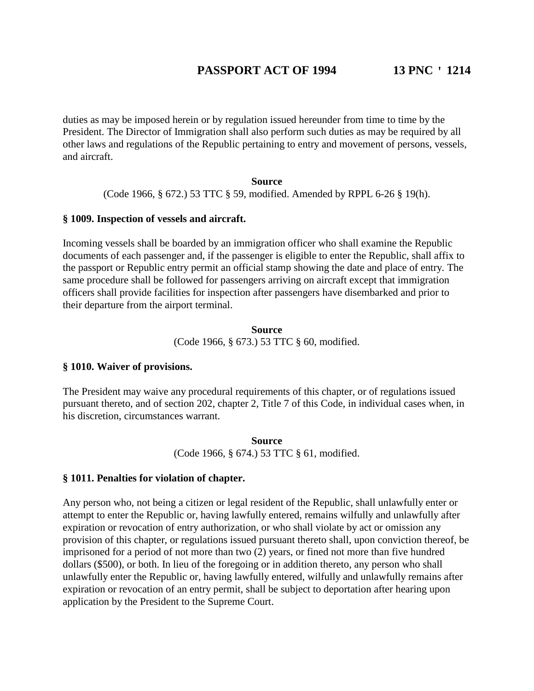duties as may be imposed herein or by regulation issued hereunder from time to time by the President. The Director of Immigration shall also perform such duties as may be required by all other laws and regulations of the Republic pertaining to entry and movement of persons, vessels, and aircraft.

### **Source**

(Code 1966, § 672.) 53 TTC § 59, modified. Amended by RPPL 6-26 § 19(h).

### **§ 1009. Inspection of vessels and aircraft.**

Incoming vessels shall be boarded by an immigration officer who shall examine the Republic documents of each passenger and, if the passenger is eligible to enter the Republic, shall affix to the passport or Republic entry permit an official stamp showing the date and place of entry. The same procedure shall be followed for passengers arriving on aircraft except that immigration officers shall provide facilities for inspection after passengers have disembarked and prior to their departure from the airport terminal.

# **Source** (Code 1966, § 673.) 53 TTC § 60, modified.

# **§ 1010. Waiver of provisions.**

The President may waive any procedural requirements of this chapter, or of regulations issued pursuant thereto, and of section 202, chapter 2, Title 7 of this Code, in individual cases when, in his discretion, circumstances warrant.

> **Source** (Code 1966, § 674.) 53 TTC § 61, modified.

### **§ 1011. Penalties for violation of chapter.**

Any person who, not being a citizen or legal resident of the Republic, shall unlawfully enter or attempt to enter the Republic or, having lawfully entered, remains wilfully and unlawfully after expiration or revocation of entry authorization, or who shall violate by act or omission any provision of this chapter, or regulations issued pursuant thereto shall, upon conviction thereof, be imprisoned for a period of not more than two (2) years, or fined not more than five hundred dollars (\$500), or both. In lieu of the foregoing or in addition thereto, any person who shall unlawfully enter the Republic or, having lawfully entered, wilfully and unlawfully remains after expiration or revocation of an entry permit, shall be subject to deportation after hearing upon application by the President to the Supreme Court.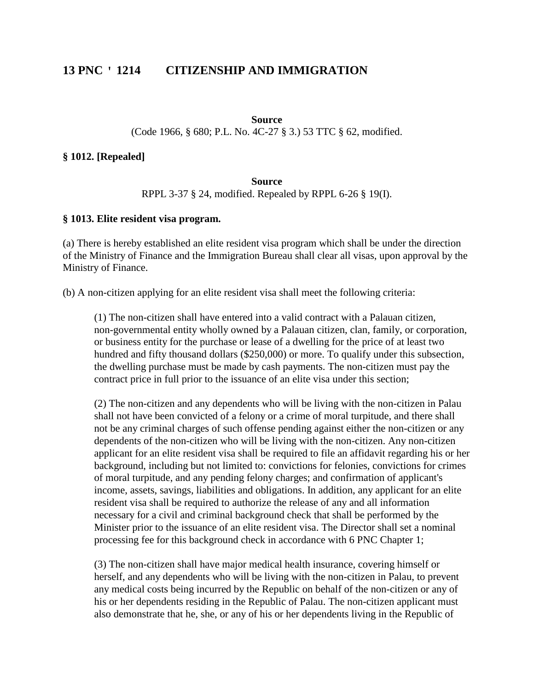#### **Source**

(Code 1966, § 680; P.L. No. 4C-27 § 3.) 53 TTC § 62, modified.

### **§ 1012. [Repealed]**

# **Source**

# RPPL 3-37 § 24, modified. Repealed by RPPL 6-26 § 19(I).

#### **§ 1013. Elite resident visa program.**

(a) There is hereby established an elite resident visa program which shall be under the direction of the Ministry of Finance and the Immigration Bureau shall clear all visas, upon approval by the Ministry of Finance.

(b) A non-citizen applying for an elite resident visa shall meet the following criteria:

(1) The non-citizen shall have entered into a valid contract with a Palauan citizen, non-governmental entity wholly owned by a Palauan citizen, clan, family, or corporation, or business entity for the purchase or lease of a dwelling for the price of at least two hundred and fifty thousand dollars (\$250,000) or more. To qualify under this subsection, the dwelling purchase must be made by cash payments. The non-citizen must pay the contract price in full prior to the issuance of an elite visa under this section;

(2) The non-citizen and any dependents who will be living with the non-citizen in Palau shall not have been convicted of a felony or a crime of moral turpitude, and there shall not be any criminal charges of such offense pending against either the non-citizen or any dependents of the non-citizen who will be living with the non-citizen. Any non-citizen applicant for an elite resident visa shall be required to file an affidavit regarding his or her background, including but not limited to: convictions for felonies, convictions for crimes of moral turpitude, and any pending felony charges; and confirmation of applicant's income, assets, savings, liabilities and obligations. In addition, any applicant for an elite resident visa shall be required to authorize the release of any and all information necessary for a civil and criminal background check that shall be performed by the Minister prior to the issuance of an elite resident visa. The Director shall set a nominal processing fee for this background check in accordance with 6 PNC Chapter 1;

(3) The non-citizen shall have major medical health insurance, covering himself or herself, and any dependents who will be living with the non-citizen in Palau, to prevent any medical costs being incurred by the Republic on behalf of the non-citizen or any of his or her dependents residing in the Republic of Palau. The non-citizen applicant must also demonstrate that he, she, or any of his or her dependents living in the Republic of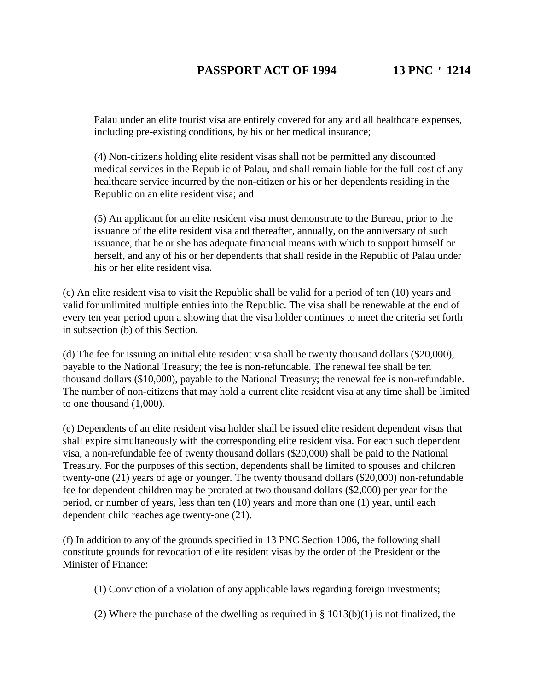Palau under an elite tourist visa are entirely covered for any and all healthcare expenses, including pre-existing conditions, by his or her medical insurance;

(4) Non-citizens holding elite resident visas shall not be permitted any discounted medical services in the Republic of Palau, and shall remain liable for the full cost of any healthcare service incurred by the non-citizen or his or her dependents residing in the Republic on an elite resident visa; and

(5) An applicant for an elite resident visa must demonstrate to the Bureau, prior to the issuance of the elite resident visa and thereafter, annually, on the anniversary of such issuance, that he or she has adequate financial means with which to support himself or herself, and any of his or her dependents that shall reside in the Republic of Palau under his or her elite resident visa.

(c) An elite resident visa to visit the Republic shall be valid for a period of ten (10) years and valid for unlimited multiple entries into the Republic. The visa shall be renewable at the end of every ten year period upon a showing that the visa holder continues to meet the criteria set forth in subsection (b) of this Section.

(d) The fee for issuing an initial elite resident visa shall be twenty thousand dollars (\$20,000), payable to the National Treasury; the fee is non-refundable. The renewal fee shall be ten thousand dollars (\$10,000), payable to the National Treasury; the renewal fee is non-refundable. The number of non-citizens that may hold a current elite resident visa at any time shall be limited to one thousand (1,000).

(e) Dependents of an elite resident visa holder shall be issued elite resident dependent visas that shall expire simultaneously with the corresponding elite resident visa. For each such dependent visa, a non-refundable fee of twenty thousand dollars (\$20,000) shall be paid to the National Treasury. For the purposes of this section, dependents shall be limited to spouses and children twenty-one (21) years of age or younger. The twenty thousand dollars (\$20,000) non-refundable fee for dependent children may be prorated at two thousand dollars (\$2,000) per year for the period, or number of years, less than ten (10) years and more than one (1) year, until each dependent child reaches age twenty-one (21).

(f) In addition to any of the grounds specified in 13 PNC Section 1006, the following shall constitute grounds for revocation of elite resident visas by the order of the President or the Minister of Finance:

(1) Conviction of a violation of any applicable laws regarding foreign investments;

(2) Where the purchase of the dwelling as required in  $\S$  1013(b)(1) is not finalized, the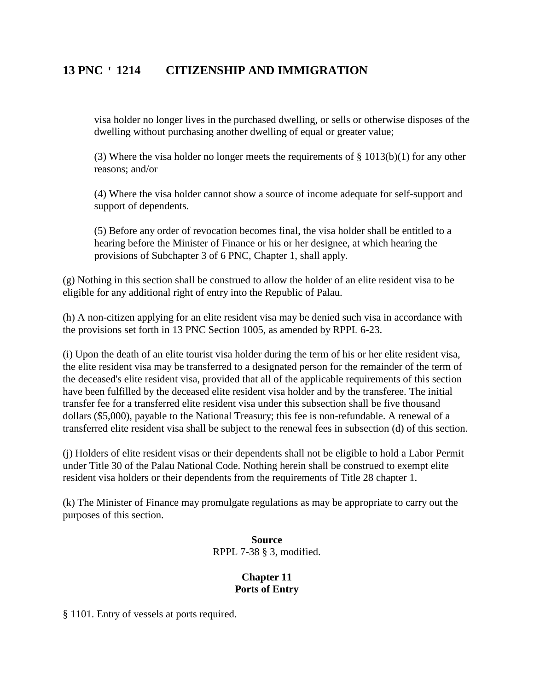visa holder no longer lives in the purchased dwelling, or sells or otherwise disposes of the dwelling without purchasing another dwelling of equal or greater value;

(3) Where the visa holder no longer meets the requirements of  $\S$  1013(b)(1) for any other reasons; and/or

(4) Where the visa holder cannot show a source of income adequate for self-support and support of dependents.

(5) Before any order of revocation becomes final, the visa holder shall be entitled to a hearing before the Minister of Finance or his or her designee, at which hearing the provisions of Subchapter 3 of 6 PNC, Chapter 1, shall apply.

(g) Nothing in this section shall be construed to allow the holder of an elite resident visa to be eligible for any additional right of entry into the Republic of Palau.

(h) A non-citizen applying for an elite resident visa may be denied such visa in accordance with the provisions set forth in 13 PNC Section 1005, as amended by RPPL 6-23.

(i) Upon the death of an elite tourist visa holder during the term of his or her elite resident visa, the elite resident visa may be transferred to a designated person for the remainder of the term of the deceased's elite resident visa, provided that all of the applicable requirements of this section have been fulfilled by the deceased elite resident visa holder and by the transferee. The initial transfer fee for a transferred elite resident visa under this subsection shall be five thousand dollars (\$5,000), payable to the National Treasury; this fee is non-refundable. A renewal of a transferred elite resident visa shall be subject to the renewal fees in subsection (d) of this section.

(j) Holders of elite resident visas or their dependents shall not be eligible to hold a Labor Permit under Title 30 of the Palau National Code. Nothing herein shall be construed to exempt elite resident visa holders or their dependents from the requirements of Title 28 chapter 1.

(k) The Minister of Finance may promulgate regulations as may be appropriate to carry out the purposes of this section.

> **Source** RPPL 7-38 § 3, modified.

# **Chapter 11 Ports of Entry**

§ 1101. Entry of vessels at ports required.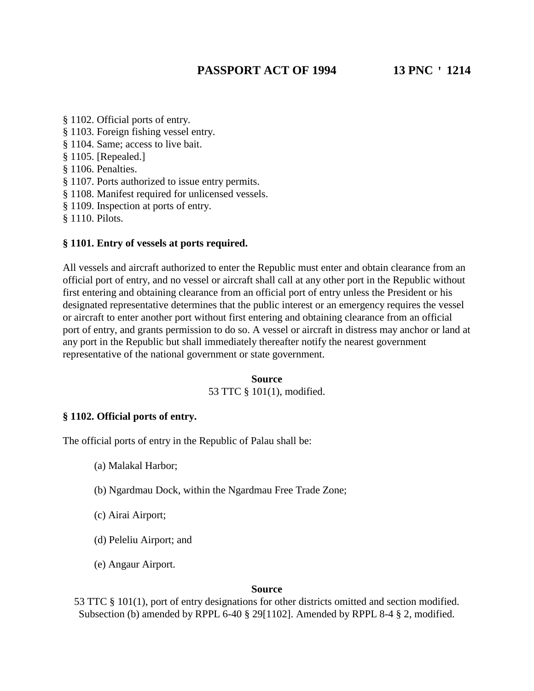- § 1102. Official ports of entry. § 1103. Foreign fishing vessel entry. § 1104. Same; access to live bait. § 1105. [Repealed.] § 1106. Penalties. § 1107. Ports authorized to issue entry permits. § 1108. Manifest required for unlicensed vessels. § 1109. Inspection at ports of entry.
- § 1110. Pilots.

# **§ 1101. Entry of vessels at ports required.**

All vessels and aircraft authorized to enter the Republic must enter and obtain clearance from an official port of entry, and no vessel or aircraft shall call at any other port in the Republic without first entering and obtaining clearance from an official port of entry unless the President or his designated representative determines that the public interest or an emergency requires the vessel or aircraft to enter another port without first entering and obtaining clearance from an official port of entry, and grants permission to do so. A vessel or aircraft in distress may anchor or land at any port in the Republic but shall immediately thereafter notify the nearest government representative of the national government or state government.

### **Source** 53 TTC § 101(1), modified.

# **§ 1102. Official ports of entry.**

The official ports of entry in the Republic of Palau shall be:

- (a) Malakal Harbor;
- (b) Ngardmau Dock, within the Ngardmau Free Trade Zone;
- (c) Airai Airport;
- (d) Peleliu Airport; and
- (e) Angaur Airport.

#### **Source**

53 TTC § 101(1), port of entry designations for other districts omitted and section modified. Subsection (b) amended by RPPL 6-40 § 29[1102]. Amended by RPPL 8-4 § 2, modified.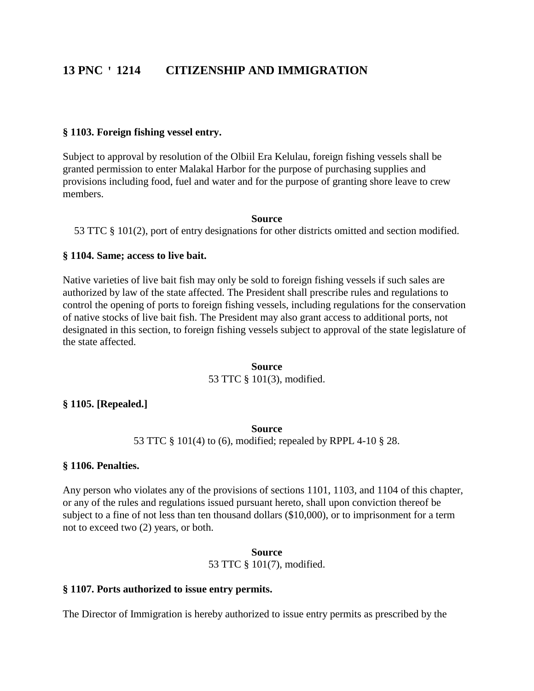### **§ 1103. Foreign fishing vessel entry.**

Subject to approval by resolution of the Olbiil Era Kelulau, foreign fishing vessels shall be granted permission to enter Malakal Harbor for the purpose of purchasing supplies and provisions including food, fuel and water and for the purpose of granting shore leave to crew members.

#### **Source**

53 TTC § 101(2), port of entry designations for other districts omitted and section modified.

### **§ 1104. Same; access to live bait.**

Native varieties of live bait fish may only be sold to foreign fishing vessels if such sales are authorized by law of the state affected. The President shall prescribe rules and regulations to control the opening of ports to foreign fishing vessels, including regulations for the conservation of native stocks of live bait fish. The President may also grant access to additional ports, not designated in this section, to foreign fishing vessels subject to approval of the state legislature of the state affected.

# **Source** 53 TTC § 101(3), modified.

### **§ 1105. [Repealed.]**

#### **Source**

53 TTC § 101(4) to (6), modified; repealed by RPPL 4-10 § 28.

### **§ 1106. Penalties.**

Any person who violates any of the provisions of sections 1101, 1103, and 1104 of this chapter, or any of the rules and regulations issued pursuant hereto, shall upon conviction thereof be subject to a fine of not less than ten thousand dollars (\$10,000), or to imprisonment for a term not to exceed two (2) years, or both.

> **Source** 53 TTC § 101(7), modified.

#### **§ 1107. Ports authorized to issue entry permits.**

The Director of Immigration is hereby authorized to issue entry permits as prescribed by the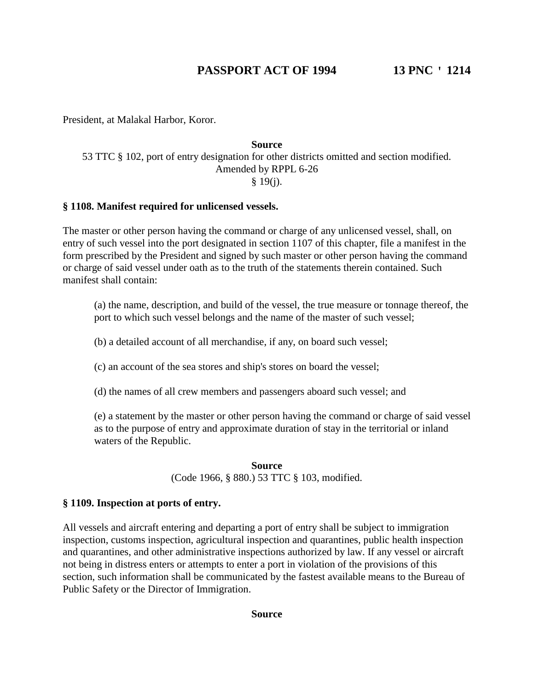President, at Malakal Harbor, Koror.

# **Source** 53 TTC § 102, port of entry designation for other districts omitted and section modified. Amended by RPPL 6-26

§ 19(j).

# **§ 1108. Manifest required for unlicensed vessels.**

The master or other person having the command or charge of any unlicensed vessel, shall, on entry of such vessel into the port designated in section 1107 of this chapter, file a manifest in the form prescribed by the President and signed by such master or other person having the command or charge of said vessel under oath as to the truth of the statements therein contained. Such manifest shall contain:

(a) the name, description, and build of the vessel, the true measure or tonnage thereof, the port to which such vessel belongs and the name of the master of such vessel;

(b) a detailed account of all merchandise, if any, on board such vessel;

(c) an account of the sea stores and ship's stores on board the vessel;

(d) the names of all crew members and passengers aboard such vessel; and

(e) a statement by the master or other person having the command or charge of said vessel as to the purpose of entry and approximate duration of stay in the territorial or inland waters of the Republic.

> **Source** (Code 1966, § 880.) 53 TTC § 103, modified.

# **§ 1109. Inspection at ports of entry.**

All vessels and aircraft entering and departing a port of entry shall be subject to immigration inspection, customs inspection, agricultural inspection and quarantines, public health inspection and quarantines, and other administrative inspections authorized by law. If any vessel or aircraft not being in distress enters or attempts to enter a port in violation of the provisions of this section, such information shall be communicated by the fastest available means to the Bureau of Public Safety or the Director of Immigration.

### **Source**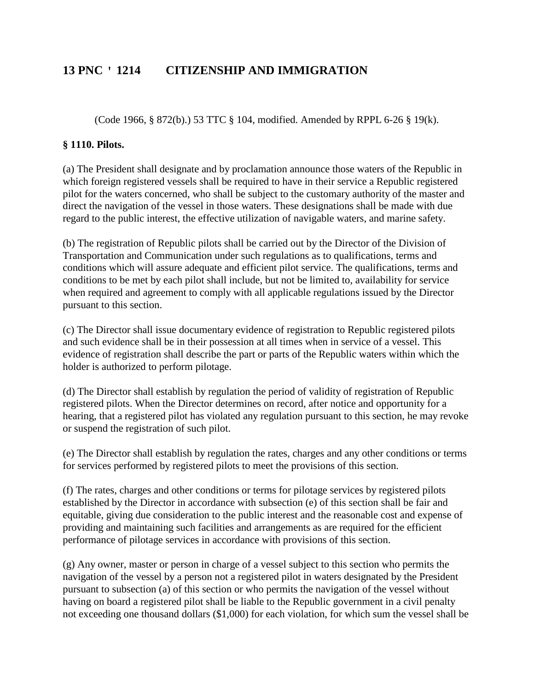(Code 1966, § 872(b).) 53 TTC § 104, modified. Amended by RPPL 6-26 § 19(k).

# **§ 1110. Pilots.**

(a) The President shall designate and by proclamation announce those waters of the Republic in which foreign registered vessels shall be required to have in their service a Republic registered pilot for the waters concerned, who shall be subject to the customary authority of the master and direct the navigation of the vessel in those waters. These designations shall be made with due regard to the public interest, the effective utilization of navigable waters, and marine safety.

(b) The registration of Republic pilots shall be carried out by the Director of the Division of Transportation and Communication under such regulations as to qualifications, terms and conditions which will assure adequate and efficient pilot service. The qualifications, terms and conditions to be met by each pilot shall include, but not be limited to, availability for service when required and agreement to comply with all applicable regulations issued by the Director pursuant to this section.

(c) The Director shall issue documentary evidence of registration to Republic registered pilots and such evidence shall be in their possession at all times when in service of a vessel. This evidence of registration shall describe the part or parts of the Republic waters within which the holder is authorized to perform pilotage.

(d) The Director shall establish by regulation the period of validity of registration of Republic registered pilots. When the Director determines on record, after notice and opportunity for a hearing, that a registered pilot has violated any regulation pursuant to this section, he may revoke or suspend the registration of such pilot.

(e) The Director shall establish by regulation the rates, charges and any other conditions or terms for services performed by registered pilots to meet the provisions of this section.

(f) The rates, charges and other conditions or terms for pilotage services by registered pilots established by the Director in accordance with subsection (e) of this section shall be fair and equitable, giving due consideration to the public interest and the reasonable cost and expense of providing and maintaining such facilities and arrangements as are required for the efficient performance of pilotage services in accordance with provisions of this section.

(g) Any owner, master or person in charge of a vessel subject to this section who permits the navigation of the vessel by a person not a registered pilot in waters designated by the President pursuant to subsection (a) of this section or who permits the navigation of the vessel without having on board a registered pilot shall be liable to the Republic government in a civil penalty not exceeding one thousand dollars (\$1,000) for each violation, for which sum the vessel shall be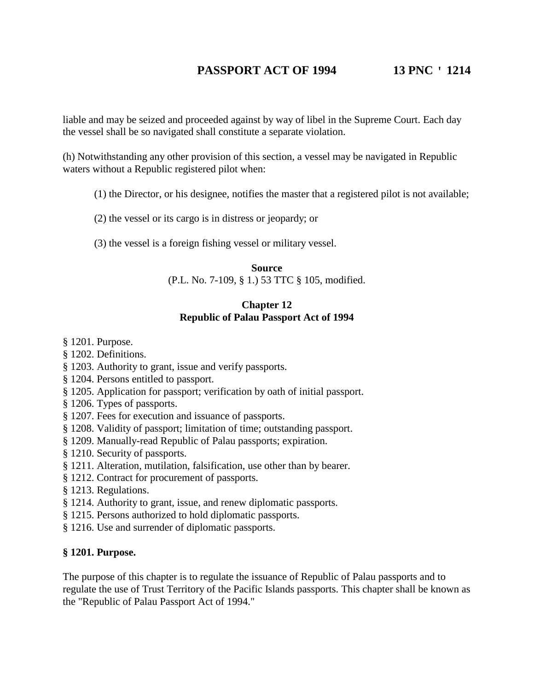liable and may be seized and proceeded against by way of libel in the Supreme Court. Each day the vessel shall be so navigated shall constitute a separate violation.

(h) Notwithstanding any other provision of this section, a vessel may be navigated in Republic waters without a Republic registered pilot when:

- (1) the Director, or his designee, notifies the master that a registered pilot is not available;
- (2) the vessel or its cargo is in distress or jeopardy; or
- (3) the vessel is a foreign fishing vessel or military vessel.

**Source** (P.L. No. 7-109, § 1.) 53 TTC § 105, modified.

# **Chapter 12 Republic of Palau Passport Act of 1994**

- § 1201. Purpose.
- § 1202. Definitions.
- § 1203. Authority to grant, issue and verify passports.
- § 1204. Persons entitled to passport.
- § 1205. Application for passport; verification by oath of initial passport.
- § 1206. Types of passports.
- § 1207. Fees for execution and issuance of passports.
- § 1208. Validity of passport; limitation of time; outstanding passport.
- § 1209. Manually-read Republic of Palau passports; expiration.
- § 1210. Security of passports.
- § 1211. Alteration, mutilation, falsification, use other than by bearer.
- § 1212. Contract for procurement of passports.
- § 1213. Regulations.
- § 1214. Authority to grant, issue, and renew diplomatic passports.
- § 1215. Persons authorized to hold diplomatic passports.
- § 1216. Use and surrender of diplomatic passports.

# **§ 1201. Purpose.**

The purpose of this chapter is to regulate the issuance of Republic of Palau passports and to regulate the use of Trust Territory of the Pacific Islands passports. This chapter shall be known as the "Republic of Palau Passport Act of 1994."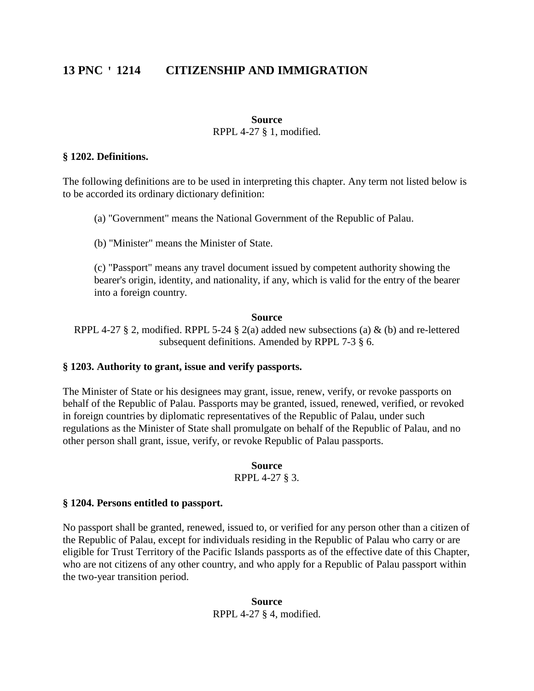#### **Source**

RPPL 4-27 § 1, modified.

### **§ 1202. Definitions.**

The following definitions are to be used in interpreting this chapter. Any term not listed below is to be accorded its ordinary dictionary definition:

(a) "Government" means the National Government of the Republic of Palau.

(b) "Minister" means the Minister of State.

(c) "Passport" means any travel document issued by competent authority showing the bearer's origin, identity, and nationality, if any, which is valid for the entry of the bearer into a foreign country.

# **Source**

RPPL 4-27 § 2, modified. RPPL 5-24 § 2(a) added new subsections (a)  $\&$  (b) and re-lettered subsequent definitions. Amended by RPPL 7-3 § 6.

# **§ 1203. Authority to grant, issue and verify passports.**

The Minister of State or his designees may grant, issue, renew, verify, or revoke passports on behalf of the Republic of Palau. Passports may be granted, issued, renewed, verified, or revoked in foreign countries by diplomatic representatives of the Republic of Palau, under such regulations as the Minister of State shall promulgate on behalf of the Republic of Palau, and no other person shall grant, issue, verify, or revoke Republic of Palau passports.

# **Source**

RPPL 4-27 § 3.

# **§ 1204. Persons entitled to passport.**

No passport shall be granted, renewed, issued to, or verified for any person other than a citizen of the Republic of Palau, except for individuals residing in the Republic of Palau who carry or are eligible for Trust Territory of the Pacific Islands passports as of the effective date of this Chapter, who are not citizens of any other country, and who apply for a Republic of Palau passport within the two-year transition period.

### **Source** RPPL 4-27 § 4, modified.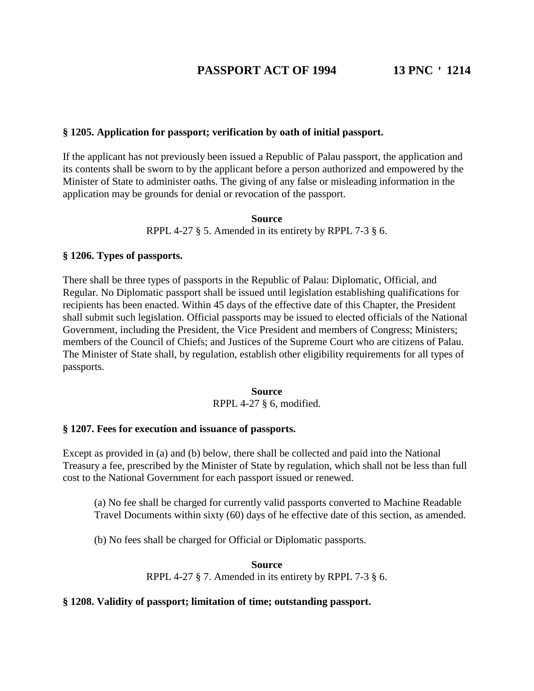# **§ 1205. Application for passport; verification by oath of initial passport.**

If the applicant has not previously been issued a Republic of Palau passport, the application and its contents shall be sworn to by the applicant before a person authorized and empowered by the Minister of State to administer oaths. The giving of any false or misleading information in the application may be grounds for denial or revocation of the passport.

> **Source** RPPL 4-27 § 5. Amended in its entirety by RPPL 7-3 § 6.

# **§ 1206. Types of passports.**

There shall be three types of passports in the Republic of Palau: Diplomatic, Official, and Regular. No Diplomatic passport shall be issued until legislation establishing qualifications for recipients has been enacted. Within 45 days of the effective date of this Chapter, the President shall submit such legislation. Official passports may be issued to elected officials of the National Government, including the President, the Vice President and members of Congress; Ministers; members of the Council of Chiefs; and Justices of the Supreme Court who are citizens of Palau. The Minister of State shall, by regulation, establish other eligibility requirements for all types of passports.

#### **Source** RPPL 4-27 § 6, modified.

### **§ 1207. Fees for execution and issuance of passports.**

Except as provided in (a) and (b) below, there shall be collected and paid into the National Treasury a fee, prescribed by the Minister of State by regulation, which shall not be less than full cost to the National Government for each passport issued or renewed.

(a) No fee shall be charged for currently valid passports converted to Machine Readable Travel Documents within sixty (60) days of he effective date of this section, as amended.

(b) No fees shall be charged for Official or Diplomatic passports.

**Source** RPPL 4-27 § 7. Amended in its entirety by RPPL 7-3 § 6.

# **§ 1208. Validity of passport; limitation of time; outstanding passport.**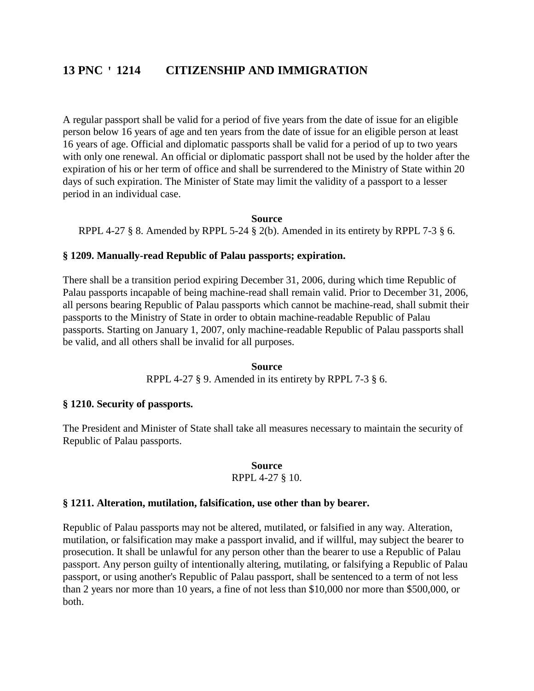A regular passport shall be valid for a period of five years from the date of issue for an eligible person below 16 years of age and ten years from the date of issue for an eligible person at least 16 years of age. Official and diplomatic passports shall be valid for a period of up to two years with only one renewal. An official or diplomatic passport shall not be used by the holder after the expiration of his or her term of office and shall be surrendered to the Ministry of State within 20 days of such expiration. The Minister of State may limit the validity of a passport to a lesser period in an individual case.

### **Source**

RPPL 4-27  $\S$  8. Amended by RPPL 5-24  $\S$  2(b). Amended in its entirety by RPPL 7-3  $\S$  6.

# **§ 1209. Manually-read Republic of Palau passports; expiration.**

There shall be a transition period expiring December 31, 2006, during which time Republic of Palau passports incapable of being machine-read shall remain valid. Prior to December 31, 2006, all persons bearing Republic of Palau passports which cannot be machine-read, shall submit their passports to the Ministry of State in order to obtain machine-readable Republic of Palau passports. Starting on January 1, 2007, only machine-readable Republic of Palau passports shall be valid, and all others shall be invalid for all purposes.

### **Source**

RPPL 4-27 § 9. Amended in its entirety by RPPL 7-3 § 6.

### **§ 1210. Security of passports.**

The President and Minister of State shall take all measures necessary to maintain the security of Republic of Palau passports.

### **Source**

### RPPL 4-27 § 10.

### **§ 1211. Alteration, mutilation, falsification, use other than by bearer.**

Republic of Palau passports may not be altered, mutilated, or falsified in any way. Alteration, mutilation, or falsification may make a passport invalid, and if willful, may subject the bearer to prosecution. It shall be unlawful for any person other than the bearer to use a Republic of Palau passport. Any person guilty of intentionally altering, mutilating, or falsifying a Republic of Palau passport, or using another's Republic of Palau passport, shall be sentenced to a term of not less than 2 years nor more than 10 years, a fine of not less than \$10,000 nor more than \$500,000, or both.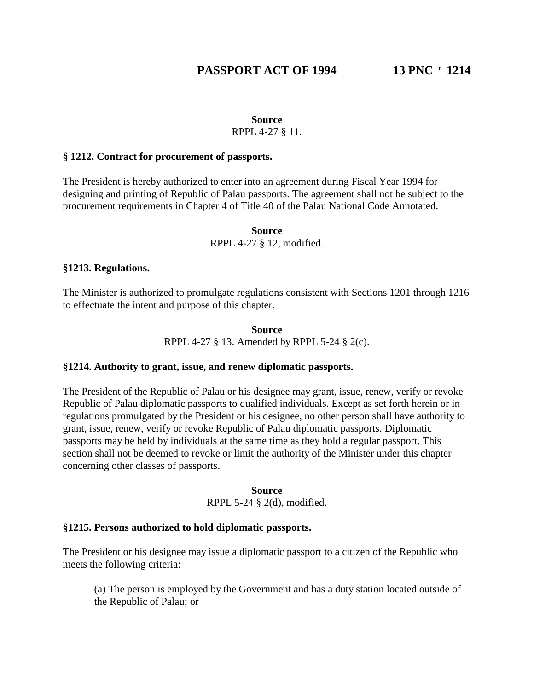# **Source**

# RPPL 4-27 § 11.

### **§ 1212. Contract for procurement of passports.**

The President is hereby authorized to enter into an agreement during Fiscal Year 1994 for designing and printing of Republic of Palau passports. The agreement shall not be subject to the procurement requirements in Chapter 4 of Title 40 of the Palau National Code Annotated.

### **Source** RPPL 4-27 § 12, modified.

### **§1213. Regulations.**

The Minister is authorized to promulgate regulations consistent with Sections 1201 through 1216 to effectuate the intent and purpose of this chapter.

> **Source** RPPL 4-27 § 13. Amended by RPPL 5-24 § 2(c).

# **§1214. Authority to grant, issue, and renew diplomatic passports.**

The President of the Republic of Palau or his designee may grant, issue, renew, verify or revoke Republic of Palau diplomatic passports to qualified individuals. Except as set forth herein or in regulations promulgated by the President or his designee, no other person shall have authority to grant, issue, renew, verify or revoke Republic of Palau diplomatic passports. Diplomatic passports may be held by individuals at the same time as they hold a regular passport. This section shall not be deemed to revoke or limit the authority of the Minister under this chapter concerning other classes of passports.

> **Source** RPPL 5-24 § 2(d), modified.

### **§1215. Persons authorized to hold diplomatic passports.**

The President or his designee may issue a diplomatic passport to a citizen of the Republic who meets the following criteria:

(a) The person is employed by the Government and has a duty station located outside of the Republic of Palau; or